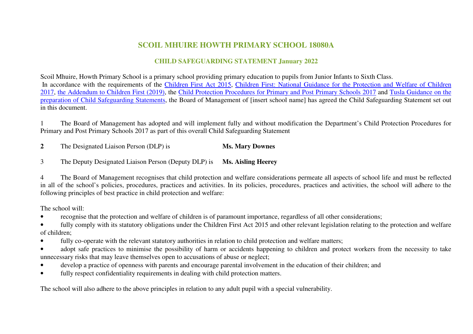## **SCOIL MHUIRE HOWTH PRIMARY SCHOOL 18080A**

## **CHILD SAFEGUARDING STATEMENT January 2022**

Scoil Mhuire, Howth Primary School is a primary school providing primary education to pupils from Junior Infants to Sixth Class. In accordance with the requirements of the Children First Act 2015, Children First: National Guidance for the Protection and Welfare of Children 2017, the Addendum to Children First (2019), the Child Protection Procedures for Primary and Post Primary Schools 2017 and Tusla Guidance on the preparation of Child Safeguarding Statements, the Board of Management of [insert school name] has agreed the Child Safeguarding Statement set out in this document.

1 The Board of Management has adopted and will implement fully and without modification the Department's Child Protection Procedures for Primary and Post Primary Schools 2017 as part of this overall Child Safeguarding Statement

**2**The Designated Liaison Person (DLP) is **Ms. Mary Downes** 

3The Deputy Designated Liaison Person (Deputy DLP) is **Ms. Aisling Heerey**

4 The Board of Management recognises that child protection and welfare considerations permeate all aspects of school life and must be reflected in all of the school's policies, procedures, practices and activities. In its policies, procedures, practices and activities, the school will adhere to the following principles of best practice in child protection and welfare:

The school will:

- •recognise that the protection and welfare of children is of paramount importance, regardless of all other considerations;
- • fully comply with its statutory obligations under the Children First Act 2015 and other relevant legislation relating to the protection and welfare of children;
- •fully co-operate with the relevant statutory authorities in relation to child protection and welfare matters;
- • adopt safe practices to minimise the possibility of harm or accidents happening to children and protect workers from the necessity to take unnecessary risks that may leave themselves open to accusations of abuse or neglect;
- develop a practice of openness with parents and encourage parental involvement in the education of their children; and •
- •fully respect confidentiality requirements in dealing with child protection matters.

The school will also adhere to the above principles in relation to any adult pupil with a special vulnerability.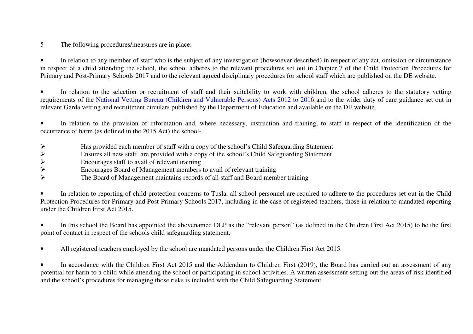5The following procedures/measures are in place:

• In relation to any member of staff who is the subject of any investigation (howsoever described) in respect of any act, omission or circumstance in respect of a child attending the school, the school adheres to the relevant procedures set out in Chapter 7 of the Child Protection Procedures for Primary and Post-Primary Schools 2017 and to the relevant agreed disciplinary procedures for school staff which are published on the DE website.

• In relation to the selection or recruitment of staff and their suitability to work with children, the school adheres to the statutory vetting requirements of the National Vetting Bureau (Children and Vulnerable Persons) Acts 2012 to 2016 and to the wider duty of care guidance set out in relevant Garda vetting and recruitment circulars published by the Department of Education and available on the DE website.

• In relation to the provision of information and, where necessary, instruction and training, to staff in respect of the identification of the occurrence of harm (as defined in the 2015 Act) the school-

- $\blacktriangleright$ Has provided each member of staff with a copy of the school's Child Safeguarding Statement
- ➤ Ensures all new staff are provided with a copy of the school's Child Safeguarding Statement
- ➤ Encourages staff to avail of relevant training
- ➤ Encourages Board of Management members to avail of relevant training
- ➤ The Board of Management maintains records of all staff and Board member training

• In relation to reporting of child protection concerns to Tusla, all school personnel are required to adhere to the procedures set out in the Child Protection Procedures for Primary and Post-Primary Schools 2017, including in the case of registered teachers, those in relation to mandated reporting under the Children First Act 2015.

• In this school the Board has appointed the abovenamed DLP as the "relevant person" (as defined in the Children First Act 2015) to be the first point of contact in respect of the schools child safeguarding statement.

•All registered teachers employed by the school are mandated persons under the Children First Act 2015.

• In accordance with the Children First Act 2015 and the Addendum to Children First (2019), the Board has carried out an assessment of any potential for harm to a child while attending the school or participating in school activities. A written assessment setting out the areas of risk identified and the school's procedures for managing those risks is included with the Child Safeguarding Statement.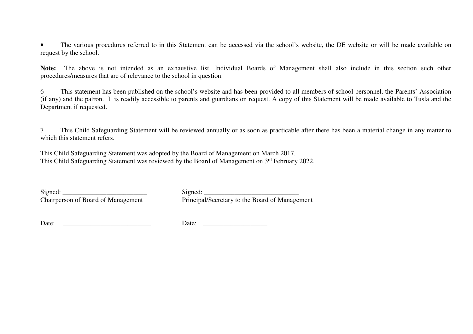• The various procedures referred to in this Statement can be accessed via the school's website, the DE website or will be made available on request by the school.

**Note:** The above is not intended as an exhaustive list. Individual Boards of Management shall also include in this section such other procedures/measures that are of relevance to the school in question.

6 This statement has been published on the school's website and has been provided to all members of school personnel, the Parents' Association (if any) and the patron. It is readily accessible to parents and guardians on request. A copy of this Statement will be made available to Tusla and the Department if requested.

7 This Child Safeguarding Statement will be reviewed annually or as soon as practicable after there has been a material change in any matter to which this statement refers.

This Child Safeguarding Statement was adopted by the Board of Management on March 2017. This Child Safeguarding Statement was reviewed by the Board of Management on 3rd February 2022.

Signed: \_\_\_\_\_\_\_\_\_\_\_\_\_\_\_\_\_\_\_\_\_\_\_\_\_ Signed: \_\_\_\_\_\_\_\_\_\_\_\_\_\_\_\_\_\_\_\_\_\_\_\_\_\_\_\_

Chairperson of Board of Management Principal/Secretary to the Board of Management

Date: \_\_\_\_\_\_\_\_\_\_\_\_\_\_\_\_\_\_\_\_\_\_\_\_\_\_ Date: \_\_\_\_\_\_\_\_\_\_\_\_\_\_\_\_\_\_\_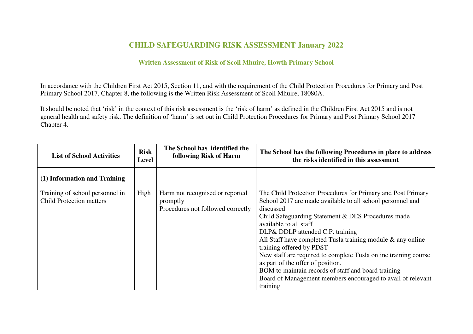## **CHILD SAFEGUARDING RISK ASSESSMENT January 2022**

## **Written Assessment of Risk of Scoil Mhuire, Howth Primary School**

In accordance with the Children First Act 2015, Section 11, and with the requirement of the Child Protection Procedures for Primary and Post Primary School 2017, Chapter 8, the following is the Written Risk Assessment of Scoil Mhuire, 18080A.

It should be noted that 'risk' in the context of this risk assessment is the 'risk of harm' as defined in the Children First Act 2015 and is not general health and safety risk. The definition of 'harm' is set out in Child Protection Procedures for Primary and Post Primary School 2017 Chapter 4.

| <b>List of School Activities</b>                                   | <b>Risk</b><br><b>Level</b> | The School has identified the<br>following Risk of Harm                          | The School has the following Procedures in place to address<br>the risks identified in this assessment                                                                                                                                                                                                                                                                                                                                                                                                                                                                                              |
|--------------------------------------------------------------------|-----------------------------|----------------------------------------------------------------------------------|-----------------------------------------------------------------------------------------------------------------------------------------------------------------------------------------------------------------------------------------------------------------------------------------------------------------------------------------------------------------------------------------------------------------------------------------------------------------------------------------------------------------------------------------------------------------------------------------------------|
| (1) Information and Training                                       |                             |                                                                                  |                                                                                                                                                                                                                                                                                                                                                                                                                                                                                                                                                                                                     |
| Training of school personnel in<br><b>Child Protection matters</b> | High                        | Harm not recognised or reported<br>promptly<br>Procedures not followed correctly | The Child Protection Procedures for Primary and Post Primary<br>School 2017 are made available to all school personnel and<br>discussed<br>Child Safeguarding Statement & DES Procedures made<br>available to all staff<br>DLP& DDLP attended C.P. training<br>All Staff have completed Tusla training module $\&$ any online<br>training offered by PDST<br>New staff are required to complete Tusla online training course<br>as part of the offer of position.<br>BOM to maintain records of staff and board training<br>Board of Management members encouraged to avail of relevant<br>training |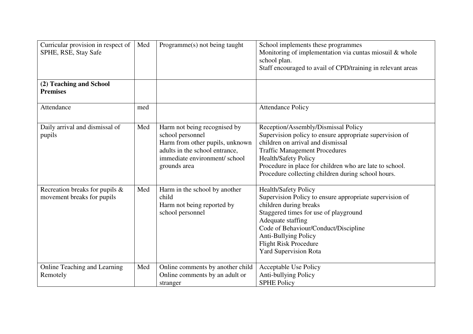| Curricular provision in respect of<br>SPHE, RSE, Stay Safe   | Med | Programme(s) not being taught                                                                                                                                         | School implements these programmes<br>Monitoring of implementation via cuntas miosuil & whole<br>school plan.<br>Staff encouraged to avail of CPD/training in relevant areas                                                                                                                                                |
|--------------------------------------------------------------|-----|-----------------------------------------------------------------------------------------------------------------------------------------------------------------------|-----------------------------------------------------------------------------------------------------------------------------------------------------------------------------------------------------------------------------------------------------------------------------------------------------------------------------|
| (2) Teaching and School<br><b>Premises</b>                   |     |                                                                                                                                                                       |                                                                                                                                                                                                                                                                                                                             |
| Attendance                                                   | med |                                                                                                                                                                       | <b>Attendance Policy</b>                                                                                                                                                                                                                                                                                                    |
| Daily arrival and dismissal of<br>pupils                     | Med | Harm not being recognised by<br>school personnel<br>Harm from other pupils, unknown<br>adults in the school entrance,<br>immediate environment/school<br>grounds area | Reception/Assembly/Dismissal Policy<br>Supervision policy to ensure appropriate supervision of<br>children on arrival and dismissal<br><b>Traffic Management Procedures</b><br><b>Health/Safety Policy</b><br>Procedure in place for children who are late to school.<br>Procedure collecting children during school hours. |
| Recreation breaks for pupils &<br>movement breaks for pupils | Med | Harm in the school by another<br>child<br>Harm not being reported by<br>school personnel                                                                              | Health/Safety Policy<br>Supervision Policy to ensure appropriate supervision of<br>children during breaks<br>Staggered times for use of playground<br>Adequate staffing<br>Code of Behaviour/Conduct/Discipline<br><b>Anti-Bullying Policy</b><br><b>Flight Risk Procedure</b><br><b>Yard Supervision Rota</b>              |
| Online Teaching and Learning<br>Remotely                     | Med | Online comments by another child<br>Online comments by an adult or<br>stranger                                                                                        | Acceptable Use Policy<br>Anti-bullying Policy<br><b>SPHE Policy</b>                                                                                                                                                                                                                                                         |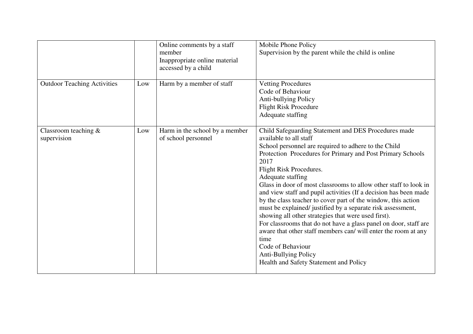|                                        |     | Online comments by a staff<br>member<br>Inappropriate online material<br>accessed by a child | Mobile Phone Policy<br>Supervision by the parent while the child is online                                                                                                                                                                                                                                                                                                                                                                                                                                                                                                                                                                                                                                                                                                                                                       |
|----------------------------------------|-----|----------------------------------------------------------------------------------------------|----------------------------------------------------------------------------------------------------------------------------------------------------------------------------------------------------------------------------------------------------------------------------------------------------------------------------------------------------------------------------------------------------------------------------------------------------------------------------------------------------------------------------------------------------------------------------------------------------------------------------------------------------------------------------------------------------------------------------------------------------------------------------------------------------------------------------------|
| <b>Outdoor Teaching Activities</b>     | Low | Harm by a member of staff                                                                    | <b>Vetting Procedures</b><br>Code of Behaviour<br>Anti-bullying Policy<br><b>Flight Risk Procedure</b><br>Adequate staffing                                                                                                                                                                                                                                                                                                                                                                                                                                                                                                                                                                                                                                                                                                      |
| Classroom teaching $\&$<br>supervision | Low | Harm in the school by a member<br>of school personnel                                        | Child Safeguarding Statement and DES Procedures made<br>available to all staff<br>School personnel are required to adhere to the Child<br>Protection Procedures for Primary and Post Primary Schools<br>2017<br>Flight Risk Procedures.<br>Adequate staffing<br>Glass in door of most classrooms to allow other staff to look in<br>and view staff and pupil activities (If a decision has been made<br>by the class teacher to cover part of the window, this action<br>must be explained/ justified by a separate risk assessment,<br>showing all other strategies that were used first).<br>For classrooms that do not have a glass panel on door, staff are<br>aware that other staff members can/ will enter the room at any<br>time<br>Code of Behaviour<br>Anti-Bullying Policy<br>Health and Safety Statement and Policy |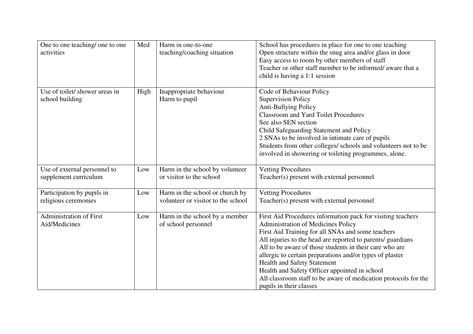| One to one teaching/ one to one<br>activities         | Med  | Harm in one-to-one<br>teaching/coaching situation                     | School has procedures in place for one to one teaching<br>Open structure within the snug area and/or glass in door<br>Easy access to room by other members of staff<br>Teacher or other staff member to be informed/ aware that a<br>child is having a 1:1 session                                                                                                                                                                                                                                                                |
|-------------------------------------------------------|------|-----------------------------------------------------------------------|-----------------------------------------------------------------------------------------------------------------------------------------------------------------------------------------------------------------------------------------------------------------------------------------------------------------------------------------------------------------------------------------------------------------------------------------------------------------------------------------------------------------------------------|
| Use of toilet/ shower areas in<br>school building     | High | Inappropriate behaviour<br>Harm to pupil                              | Code of Behaviour Policy<br><b>Supervision Policy</b><br>Anti-Bullying Policy<br><b>Classroom and Yard Toilet Procedures</b><br>See also SEN section<br>Child Safeguarding Statement and Policy<br>2 SNAs to be involved in intimate care of pupils<br>Students from other colleges/ schools and volunteers not to be<br>involved in showering or toileting programmes, alone.                                                                                                                                                    |
| Use of external personnel to<br>supplement curriculum | Low  | Harm in the school by volunteer<br>or visitor to the school           | <b>Vetting Procedures</b><br>Teacher(s) present with external personnel                                                                                                                                                                                                                                                                                                                                                                                                                                                           |
| Participation by pupils in<br>religious ceremonies    | Low  | Harm in the school or church by<br>volunteer or visitor to the school | <b>Vetting Procedures</b><br>Teacher(s) present with external personnel                                                                                                                                                                                                                                                                                                                                                                                                                                                           |
| <b>Administration of First</b><br>Aid/Medicines       | Low  | Harm in the school by a member<br>of school personnel                 | First Aid Procedures information pack for visiting teachers<br><b>Administration of Medicines Policy</b><br>First Aid Training for all SNAs and some teachers<br>All injuries to the head are reported to parents/ guardians<br>All to be aware of those students in their care who are<br>allergic to certain preparations and/or types of plaster<br>Health and Safety Statement<br>Health and Safety Officer appointed in school<br>All classroom staff to be aware of medication protocols for the<br>pupils in their classes |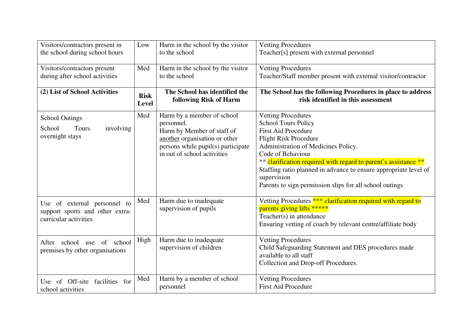| Visitors/contractors present in                                                          | Low         | Harm in the school by the visitor                                                                                                                                            | <b>Vetting Procedures</b>                                                                                                                                                                                                                                                                                                                                                                          |
|------------------------------------------------------------------------------------------|-------------|------------------------------------------------------------------------------------------------------------------------------------------------------------------------------|----------------------------------------------------------------------------------------------------------------------------------------------------------------------------------------------------------------------------------------------------------------------------------------------------------------------------------------------------------------------------------------------------|
| the school during school hours                                                           |             | to the school                                                                                                                                                                | Teacher[s] present with external personnel                                                                                                                                                                                                                                                                                                                                                         |
| Visitors/contractors present                                                             | Med         | Harm in the school by the visitor                                                                                                                                            | <b>Vetting Procedures</b>                                                                                                                                                                                                                                                                                                                                                                          |
| during after school activities                                                           |             | to the school                                                                                                                                                                | Teacher/Staff member present with external visitor/contractor                                                                                                                                                                                                                                                                                                                                      |
| (2) List of School Activities                                                            | <b>Risk</b> | The School has identified the                                                                                                                                                | The School has the following Procedures in place to address                                                                                                                                                                                                                                                                                                                                        |
|                                                                                          | Level       | following Risk of Harm                                                                                                                                                       | risk identified in this assessment                                                                                                                                                                                                                                                                                                                                                                 |
| <b>School Outings</b><br>School<br>Tours<br>involving<br>overnight stays                 | Med         | Harm by a member of school<br>personnel.<br>Harm by Member of staff of<br>another organisation or other<br>persons while pupil(s) participate<br>in out of school activities | <b>Vetting Procedures</b><br><b>School Tours Policy</b><br><b>First Aid Procedure</b><br><b>Flight Risk Procedure</b><br>Administration of Medicines Policy.<br>Code of Behaviour<br>** clarification required with regard to parent's assistance **<br>Staffing ratio planned in advance to ensure appropriate level of<br>supervision<br>Parents to sign permission slips for all school outings |
| Use of external personnel to<br>support sports and other extra-<br>curricular activities | Med         | Harm due to inadequate<br>supervision of pupils                                                                                                                              | Vetting Procedures *** clarification required with regard to<br>parents giving lifts *****<br>Teacher(s) in attendance<br>Ensuring vetting of coach by relevant centre/affiliate body                                                                                                                                                                                                              |
| After school use of school<br>premises by other organisations                            | High        | Harm due to inadequate<br>supervision of children                                                                                                                            | <b>Vetting Procedures</b><br>Child Safeguarding Statement and DES procedures made<br>available to all staff<br>Collection and Drop-off Procedures.                                                                                                                                                                                                                                                 |
| Use of Off-site facilities for                                                           | Med         | Harm by a member of school                                                                                                                                                   | <b>Vetting Procedures</b>                                                                                                                                                                                                                                                                                                                                                                          |
| school activities                                                                        |             | personnel                                                                                                                                                                    | <b>First Aid Procedure</b>                                                                                                                                                                                                                                                                                                                                                                         |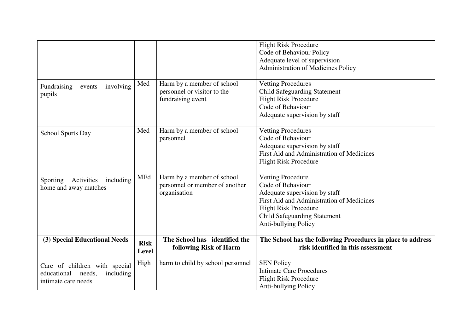|                                                                                            |                             |                                                                                | <b>Flight Risk Procedure</b><br>Code of Behaviour Policy<br>Adequate level of supervision<br>Administration of Medicines Policy                                                                                            |
|--------------------------------------------------------------------------------------------|-----------------------------|--------------------------------------------------------------------------------|----------------------------------------------------------------------------------------------------------------------------------------------------------------------------------------------------------------------------|
| involving<br>Fundraising<br>events<br>pupils                                               | Med                         | Harm by a member of school<br>personnel or visitor to the<br>fundraising event | <b>Vetting Procedures</b><br><b>Child Safeguarding Statement</b><br><b>Flight Risk Procedure</b><br>Code of Behaviour<br>Adequate supervision by staff                                                                     |
| School Sports Day                                                                          | Med                         | Harm by a member of school<br>personnel                                        | <b>Vetting Procedures</b><br>Code of Behaviour<br>Adequate supervision by staff<br>First Aid and Administration of Medicines<br><b>Flight Risk Procedure</b>                                                               |
| Activities<br>Sporting<br>including<br>home and away matches                               | MEd                         | Harm by a member of school<br>personnel or member of another<br>organisation   | <b>Vetting Procedure</b><br>Code of Behaviour<br>Adequate supervision by staff<br>First Aid and Administration of Medicines<br><b>Flight Risk Procedure</b><br><b>Child Safeguarding Statement</b><br>Anti-bullying Policy |
| (3) Special Educational Needs                                                              | <b>Risk</b><br><b>Level</b> | The School has identified the<br>following Risk of Harm                        | The School has the following Procedures in place to address<br>risk identified in this assessment                                                                                                                          |
| Care of children with special<br>educational<br>including<br>needs,<br>intimate care needs | High                        | harm to child by school personnel                                              | <b>SEN Policy</b><br><b>Intimate Care Procedures</b><br><b>Flight Risk Procedure</b><br>Anti-bullying Policy                                                                                                               |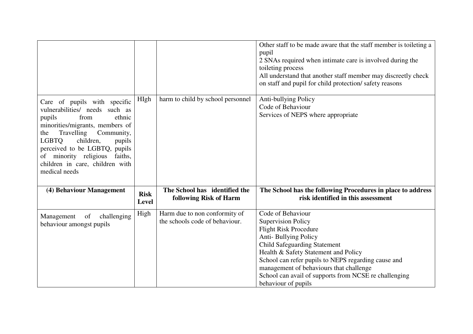|                                                                                                                                                                                                                                                                                                                                  |                      |                                                                 | Other staff to be made aware that the staff member is toileting a<br>pupil<br>2 SNAs required when intimate care is involved during the<br>toileting process<br>All understand that another staff member may discreetly check<br>on staff and pupil for child protection/safety reasons                                                          |
|----------------------------------------------------------------------------------------------------------------------------------------------------------------------------------------------------------------------------------------------------------------------------------------------------------------------------------|----------------------|-----------------------------------------------------------------|--------------------------------------------------------------------------------------------------------------------------------------------------------------------------------------------------------------------------------------------------------------------------------------------------------------------------------------------------|
| Care of pupils with specific<br>vulnerabilities/ needs such as<br>from<br>ethnic<br>pupils<br>minorities/migrants, members of<br>Travelling<br>Community,<br>the<br><b>LGBTQ</b><br>children,<br>pupils<br>perceived to be LGBTQ, pupils<br>of minority religious<br>faiths,<br>children in care, children with<br>medical needs | HIgh                 | harm to child by school personnel                               | Anti-bullying Policy<br>Code of Behaviour<br>Services of NEPS where appropriate                                                                                                                                                                                                                                                                  |
| (4) Behaviour Management                                                                                                                                                                                                                                                                                                         | <b>Risk</b><br>Level | The School has identified the<br>following Risk of Harm         | The School has the following Procedures in place to address<br>risk identified in this assessment                                                                                                                                                                                                                                                |
| of<br>challenging<br>Management<br>behaviour amongst pupils                                                                                                                                                                                                                                                                      | High                 | Harm due to non conformity of<br>the schools code of behaviour. | Code of Behaviour<br><b>Supervision Policy</b><br><b>Flight Risk Procedure</b><br>Anti-Bullying Policy<br><b>Child Safeguarding Statement</b><br>Health & Safety Statement and Policy<br>School can refer pupils to NEPS regarding cause and<br>management of behaviours that challenge<br>School can avail of supports from NCSE re challenging |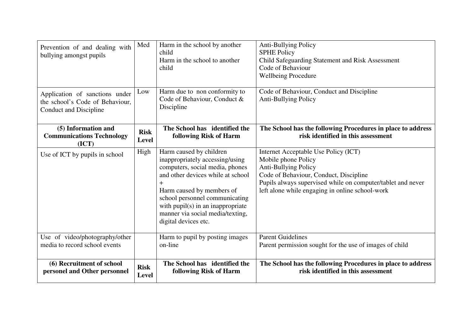| Prevention of and dealing with<br>bullying amongst pupils                                   | Med                         | Harm in the school by another<br>child<br>Harm in the school to another<br>child                                                                                                                                                                                                                              | <b>Anti-Bullying Policy</b><br><b>SPHE Policy</b><br>Child Safeguarding Statement and Risk Assessment<br>Code of Behaviour<br><b>Wellbeing Procedure</b>                                                                                               |
|---------------------------------------------------------------------------------------------|-----------------------------|---------------------------------------------------------------------------------------------------------------------------------------------------------------------------------------------------------------------------------------------------------------------------------------------------------------|--------------------------------------------------------------------------------------------------------------------------------------------------------------------------------------------------------------------------------------------------------|
| Application of sanctions under<br>the school's Code of Behaviour,<br>Conduct and Discipline | Low                         | Harm due to non conformity to<br>Code of Behaviour, Conduct &<br>Discipline                                                                                                                                                                                                                                   | Code of Behaviour, Conduct and Discipline<br><b>Anti-Bullying Policy</b>                                                                                                                                                                               |
| (5) Information and<br><b>Communications Technology</b><br>(ICT)                            | <b>Risk</b><br><b>Level</b> | The School has identified the<br>following Risk of Harm                                                                                                                                                                                                                                                       | The School has the following Procedures in place to address<br>risk identified in this assessment                                                                                                                                                      |
| Use of ICT by pupils in school                                                              | High                        | Harm caused by children<br>inappropriately accessing/using<br>computers, social media, phones<br>and other devices while at school<br>$\pm$<br>Harm caused by members of<br>school personnel communicating<br>with $pupil(s)$ in an inappropriate<br>manner via social media/texting,<br>digital devices etc. | Internet Acceptable Use Policy (ICT)<br>Mobile phone Policy<br><b>Anti-Bullying Policy</b><br>Code of Behaviour, Conduct, Discipline<br>Pupils always supervised while on computer/tablet and never<br>left alone while engaging in online school-work |
| Use of video/photography/other<br>media to record school events                             |                             | Harm to pupil by posting images<br>on-line                                                                                                                                                                                                                                                                    | <b>Parent Guidelines</b><br>Parent permission sought for the use of images of child                                                                                                                                                                    |
| (6) Recruitment of school<br>personel and Other personnel                                   | <b>Risk</b><br><b>Level</b> | The School has identified the<br>following Risk of Harm                                                                                                                                                                                                                                                       | The School has the following Procedures in place to address<br>risk identified in this assessment                                                                                                                                                      |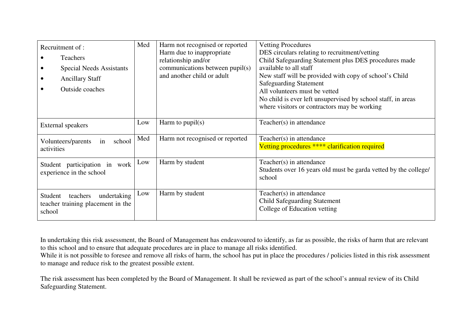| Recruitment of:<br><b>Teachers</b><br><b>Special Needs Assistants</b><br><b>Ancillary Staff</b><br><b>Outside coaches</b> | Med | Harm not recognised or reported<br>Harm due to inappropriate<br>relationship and/or<br>communications between pupil(s)<br>and another child or adult | <b>Vetting Procedures</b><br>DES circulars relating to recruitment/vetting<br>Child Safeguarding Statement plus DES procedures made<br>available to all staff<br>New staff will be provided with copy of school's Child<br><b>Safeguarding Statement</b><br>All volunteers must be vetted<br>No child is ever left unsupervised by school staff, in areas |
|---------------------------------------------------------------------------------------------------------------------------|-----|------------------------------------------------------------------------------------------------------------------------------------------------------|-----------------------------------------------------------------------------------------------------------------------------------------------------------------------------------------------------------------------------------------------------------------------------------------------------------------------------------------------------------|
|                                                                                                                           |     |                                                                                                                                                      | where visitors or contractors may be working                                                                                                                                                                                                                                                                                                              |
| <b>External speakers</b>                                                                                                  | Low | Harm to $pupil(s)$                                                                                                                                   | Teacher(s) in attendance                                                                                                                                                                                                                                                                                                                                  |
| school<br>Volunteers/parents<br>in<br>activities                                                                          | Med | Harm not recognised or reported                                                                                                                      | Teacher(s) in attendance<br>Vetting procedures **** clarification required                                                                                                                                                                                                                                                                                |
| Student participation in work<br>experience in the school                                                                 | Low | Harm by student                                                                                                                                      | Teacher(s) in attendance<br>Students over 16 years old must be garda vetted by the college/<br>school                                                                                                                                                                                                                                                     |
| undertaking<br>Student<br>teachers<br>teacher training placement in the<br>school                                         | Low | Harm by student                                                                                                                                      | Teacher(s) in attendance<br><b>Child Safeguarding Statement</b><br>College of Education vetting                                                                                                                                                                                                                                                           |

In undertaking this risk assessment, the Board of Management has endeavoured to identify, as far as possible, the risks of harm that are relevant to this school and to ensure that adequate procedures are in place to manage all risks identified.

While it is not possible to foresee and remove all risks of harm, the school has put in place the procedures / policies listed in this risk assessment to manage and reduce risk to the greatest possible extent.

The risk assessment has been completed by the Board of Management. It shall be reviewed as part of the school's annual review of its Child Safeguarding Statement.